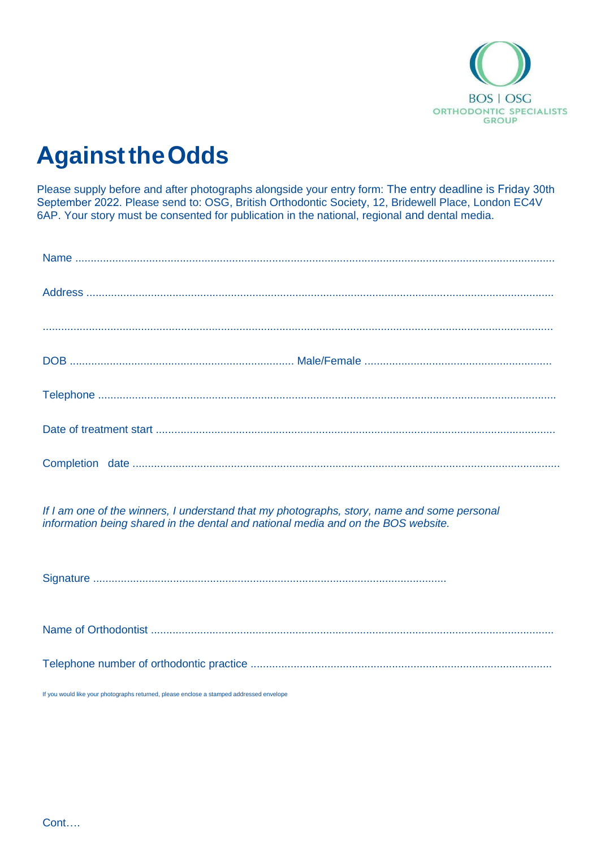

## **Against the Odds**

Please supply before and after photographs alongside your entry form: The entry deadline is Friday 30th September 2022. Please send to: OSG, British Orthodontic Society, 12, Bridewell Place, London EC4V 6AP. Your story must be consented for publication in the national, regional and dental media.

*If I am one of the winners, I understand that my photographs, story, name and some personal information being shared in the dental and national media and on the BOS website.*

Signature ...................................................................................................................

Name of Orthodontist ...................................................................................................................................

Telephone number of orthodontic practice ..................................................................................................

If you would like your photographs returned, please enclose a stamped addressed envelope